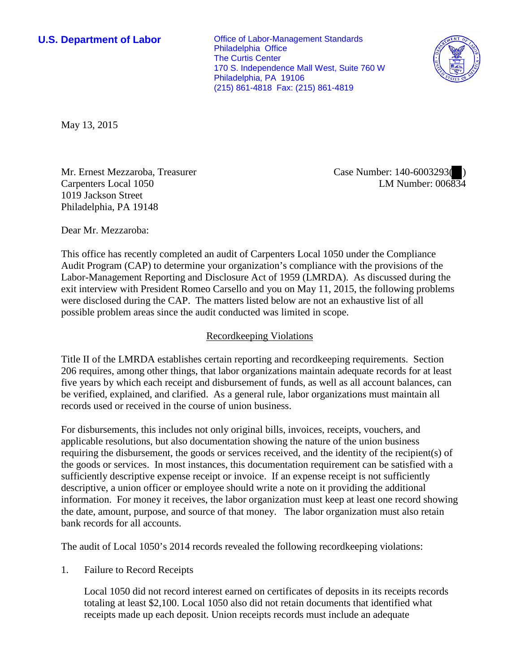**U.S. Department of Labor Conservative Conservative Conservative Conservative Conservative Conservative Conservative Conservative Conservative Conservative Conservative Conservative Conservative Conservative Conservative** Philadelphia Office The Curtis Center 170 S. Independence Mall West, Suite 760 W Philadelphia, PA 19106 (215) 861-4818 Fax: (215) 861-4819



May 13, 2015

Mr. Ernest Mezzaroba, Treasurer Carpenters Local 1050 1019 Jackson Street Philadelphia, PA 19148

Case Number: 140-6003293( ) LM Number: 006834

Dear Mr. Mezzaroba:

This office has recently completed an audit of Carpenters Local 1050 under the Compliance Audit Program (CAP) to determine your organization's compliance with the provisions of the Labor-Management Reporting and Disclosure Act of 1959 (LMRDA). As discussed during the exit interview with President Romeo Carsello and you on May 11, 2015, the following problems were disclosed during the CAP. The matters listed below are not an exhaustive list of all possible problem areas since the audit conducted was limited in scope.

## Recordkeeping Violations

Title II of the LMRDA establishes certain reporting and recordkeeping requirements. Section 206 requires, among other things, that labor organizations maintain adequate records for at least five years by which each receipt and disbursement of funds, as well as all account balances, can be verified, explained, and clarified. As a general rule, labor organizations must maintain all records used or received in the course of union business.

For disbursements, this includes not only original bills, invoices, receipts, vouchers, and applicable resolutions, but also documentation showing the nature of the union business requiring the disbursement, the goods or services received, and the identity of the recipient(s) of the goods or services. In most instances, this documentation requirement can be satisfied with a sufficiently descriptive expense receipt or invoice. If an expense receipt is not sufficiently descriptive, a union officer or employee should write a note on it providing the additional information. For money it receives, the labor organization must keep at least one record showing the date, amount, purpose, and source of that money. The labor organization must also retain bank records for all accounts.

The audit of Local 1050's 2014 records revealed the following recordkeeping violations:

## 1. Failure to Record Receipts

Local 1050 did not record interest earned on certificates of deposits in its receipts records totaling at least \$2,100. Local 1050 also did not retain documents that identified what receipts made up each deposit. Union receipts records must include an adequate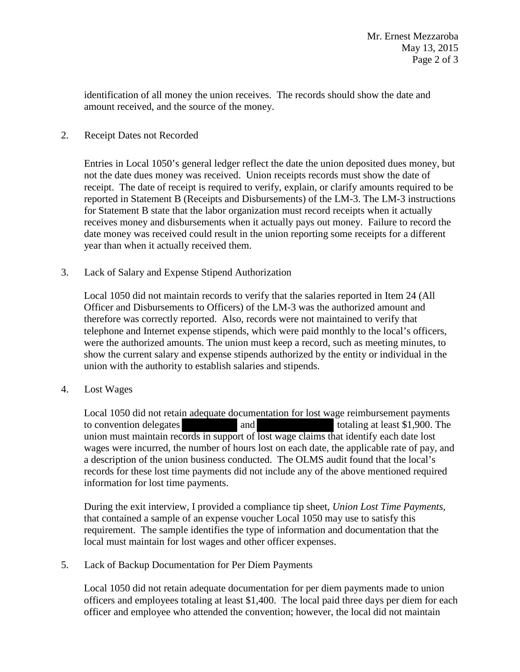identification of all money the union receives. The records should show the date and amount received, and the source of the money.

## 2. Receipt Dates not Recorded

Entries in Local 1050's general ledger reflect the date the union deposited dues money, but not the date dues money was received. Union receipts records must show the date of receipt. The date of receipt is required to verify, explain, or clarify amounts required to be reported in Statement B (Receipts and Disbursements) of the LM-3. The LM-3 instructions for Statement B state that the labor organization must record receipts when it actually receives money and disbursements when it actually pays out money. Failure to record the date money was received could result in the union reporting some receipts for a different year than when it actually received them.

3. Lack of Salary and Expense Stipend Authorization

Local 1050 did not maintain records to verify that the salaries reported in Item 24 (All Officer and Disbursements to Officers) of the LM-3 was the authorized amount and therefore was correctly reported. Also, records were not maintained to verify that telephone and Internet expense stipends, which were paid monthly to the local's officers, were the authorized amounts. The union must keep a record, such as meeting minutes, to show the current salary and expense stipends authorized by the entity or individual in the union with the authority to establish salaries and stipends.

4. Lost Wages

Local 1050 did not retain adequate documentation for lost wage reimbursement payments to convention delegates and totaling at least \$1,900. The union must maintain records in support of lost wage claims that identify each date lost wages were incurred, the number of hours lost on each date, the applicable rate of pay, and a description of the union business conducted. The OLMS audit found that the local's records for these lost time payments did not include any of the above mentioned required information for lost time payments.

During the exit interview, I provided a compliance tip sheet, *Union Lost Time Payments*, that contained a sample of an expense voucher Local 1050 may use to satisfy this requirement. The sample identifies the type of information and documentation that the local must maintain for lost wages and other officer expenses.

5. Lack of Backup Documentation for Per Diem Payments

Local 1050 did not retain adequate documentation for per diem payments made to union officers and employees totaling at least \$1,400. The local paid three days per diem for each officer and employee who attended the convention; however, the local did not maintain